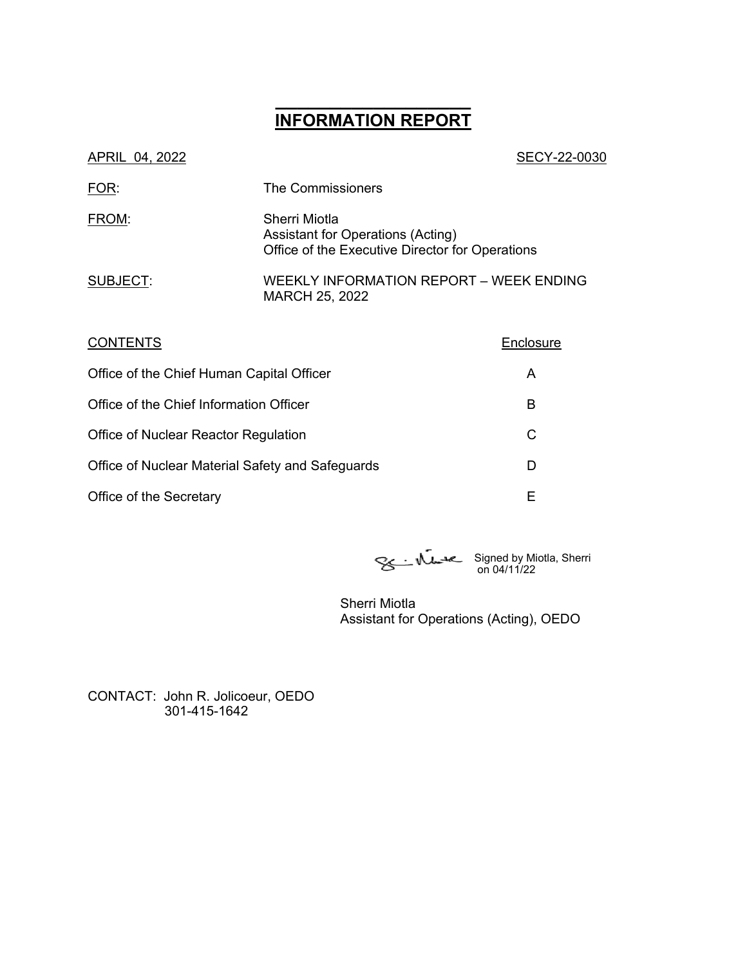# **\_\_\_\_\_\_\_\_\_\_\_\_\_\_\_\_\_\_ INFORMATION REPORT**

| SECY-22-0030                                                                                          |
|-------------------------------------------------------------------------------------------------------|
| The Commissioners                                                                                     |
| Sherri Miotla<br>Assistant for Operations (Acting)<br>Office of the Executive Director for Operations |
| WEEKLY INFORMATION REPORT – WEEK ENDING<br>MARCH 25, 2022                                             |
|                                                                                                       |

| <b>CONTENTS</b>                                  | Enclosure |
|--------------------------------------------------|-----------|
| Office of the Chief Human Capital Officer        | A         |
| Office of the Chief Information Officer          | в         |
| Office of Nuclear Reactor Regulation             | С         |
| Office of Nuclear Material Safety and Safeguards | D         |
| Office of the Secretary                          | Е         |

Signed by Miotla, Sherri on 04/11/22

Sherri Miotla Assistant for Operations (Acting), OEDO

CONTACT: John R. Jolicoeur, OEDO 301-415-1642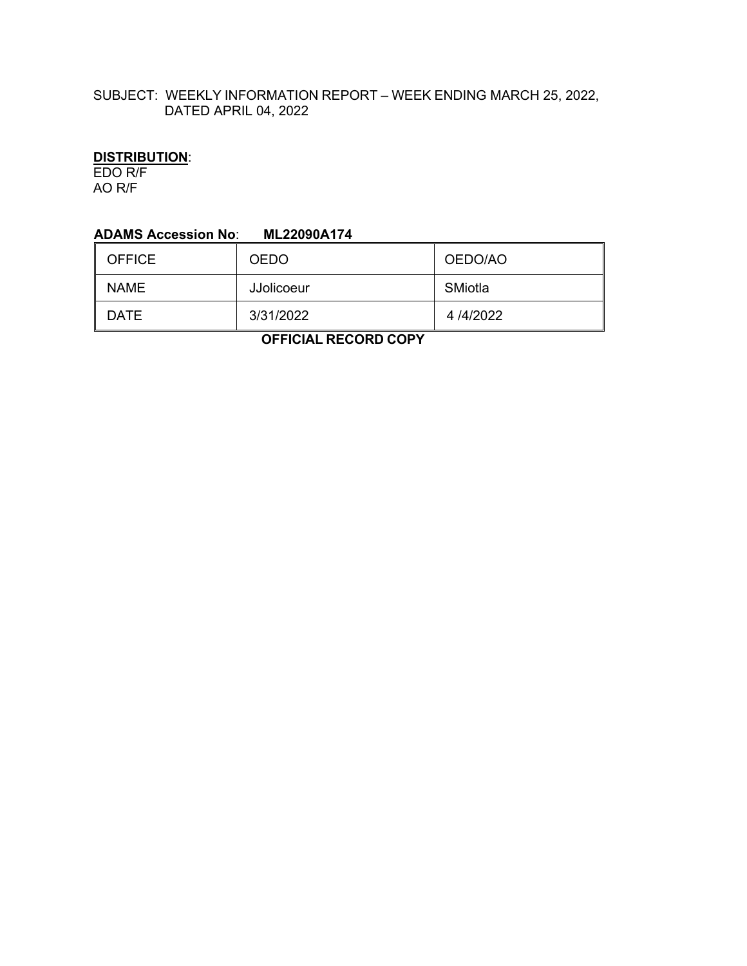# SUBJECT: WEEKLY INFORMATION REPORT – WEEK ENDING MARCH 25, 2022, DATED APRIL 04, 2022

# **DISTRIBUTION**:

EDO R/F AO R/F

#### **ADAMS Accession No**: **ML22090A174**

| <b>OFFICE</b> | <b>OEDO</b>       | OEDO/AO  |
|---------------|-------------------|----------|
| <b>NAME</b>   | <b>JJolicoeur</b> | SMiotla  |
| DATE          | 3/31/2022         | 4/4/2022 |

 **OFFICIAL RECORD COPY**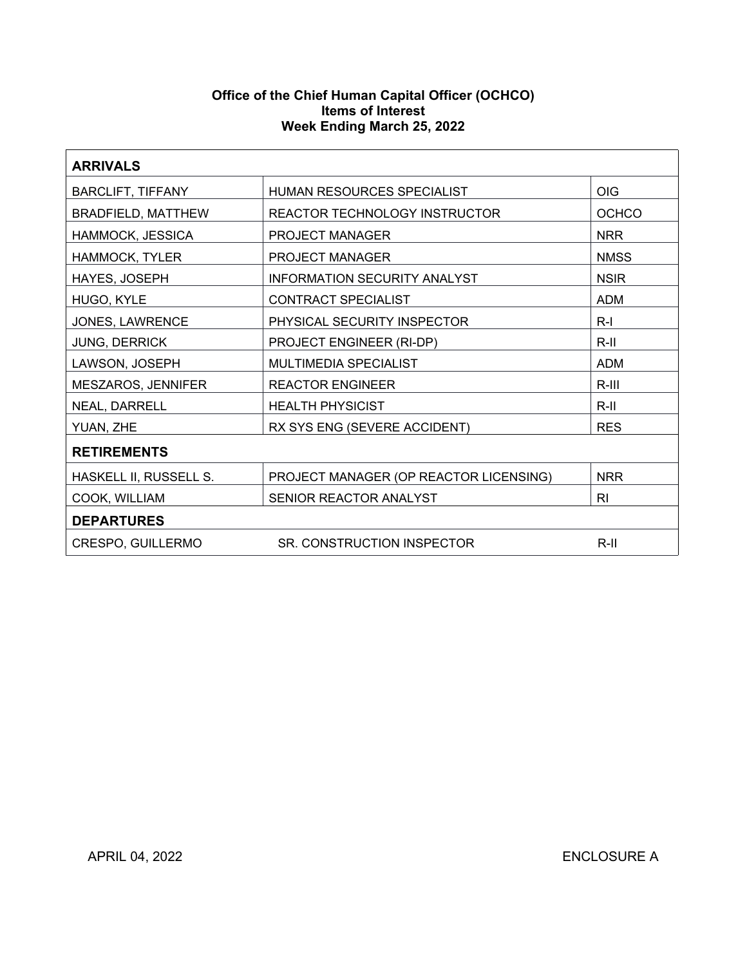#### **Office of the Chief Human Capital Officer (OCHCO) Items of Interest Week Ending March 25, 2022**

| <b>ARRIVALS</b>                                      |                                        |              |  |
|------------------------------------------------------|----------------------------------------|--------------|--|
| <b>BARCLIFT, TIFFANY</b>                             | HUMAN RESOURCES SPECIALIST             | <b>OIG</b>   |  |
| <b>BRADFIELD, MATTHEW</b>                            | REACTOR TECHNOLOGY INSTRUCTOR          | <b>OCHCO</b> |  |
| HAMMOCK, JESSICA                                     | PROJECT MANAGER                        | <b>NRR</b>   |  |
| HAMMOCK, TYLER                                       | PROJECT MANAGER                        | <b>NMSS</b>  |  |
| HAYES, JOSEPH                                        | <b>INFORMATION SECURITY ANALYST</b>    | <b>NSIR</b>  |  |
| HUGO, KYLE                                           | CONTRACT SPECIALIST                    | <b>ADM</b>   |  |
| JONES, LAWRENCE                                      | PHYSICAL SECURITY INSPECTOR            | $R-I$        |  |
| <b>JUNG, DERRICK</b>                                 | PROJECT ENGINEER (RI-DP)               | $R-II$       |  |
| LAWSON, JOSEPH                                       | MULTIMEDIA SPECIALIST                  | <b>ADM</b>   |  |
| MESZAROS, JENNIFER                                   | <b>REACTOR ENGINEER</b>                | $R-III$      |  |
| NEAL, DARRELL                                        | <b>HEALTH PHYSICIST</b>                | $R-III$      |  |
| YUAN, ZHE                                            | RX SYS ENG (SEVERE ACCIDENT)           | <b>RES</b>   |  |
| <b>RETIREMENTS</b>                                   |                                        |              |  |
| HASKELL II, RUSSELL S.                               | PROJECT MANAGER (OP REACTOR LICENSING) |              |  |
| COOK, WILLIAM<br>SENIOR REACTOR ANALYST<br><b>RI</b> |                                        |              |  |
| <b>DEPARTURES</b>                                    |                                        |              |  |
| CRESPO, GUILLERMO                                    | SR. CONSTRUCTION INSPECTOR             | $R-II$       |  |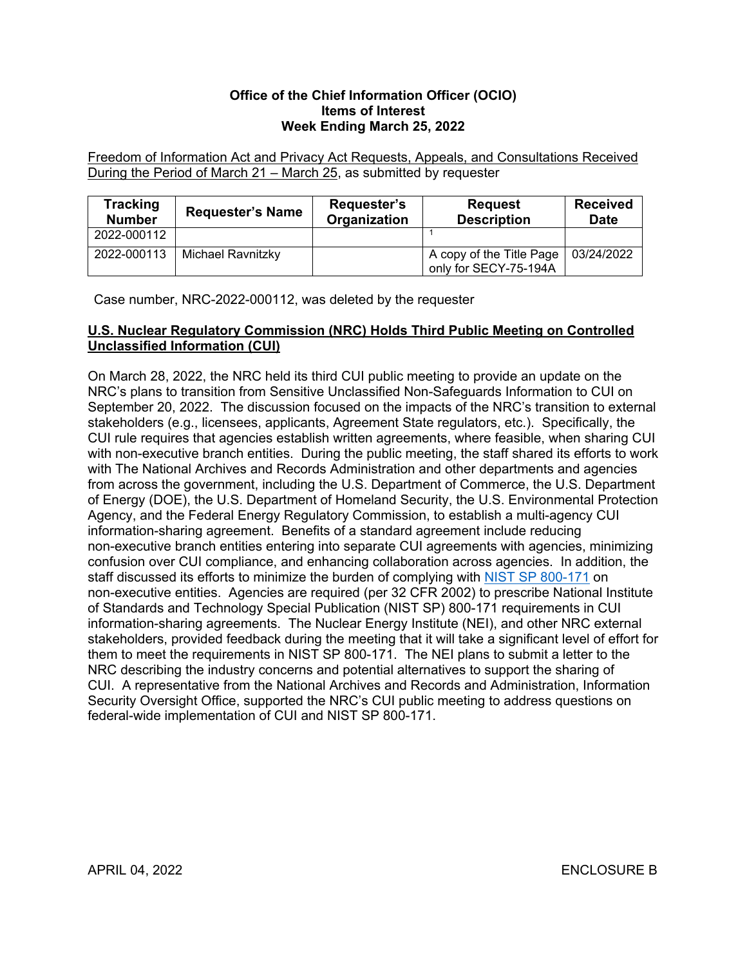#### **Office of the Chief Information Officer (OCIO) Items of Interest Week Ending March 25, 2022**

Freedom of Information Act and Privacy Act Requests, Appeals, and Consultations Received During the Period of March 21 – March 25, as submitted by requester

| Tracking<br><b>Number</b> | <b>Requester's Name</b> | Requester's<br>Organization | <b>Request</b><br><b>Description</b>              | <b>Received</b><br><b>Date</b> |
|---------------------------|-------------------------|-----------------------------|---------------------------------------------------|--------------------------------|
| 2022-000112               |                         |                             |                                                   |                                |
| 2022-000113               | Michael Ravnitzky       |                             | A copy of the Title Page<br>only for SECY-75-194A | 03/24/2022                     |

Case number, NRC-2022-000112, was deleted by the requester

## **U.S. Nuclear Regulatory Commission (NRC) Holds Third Public Meeting on Controlled Unclassified Information (CUI)**

On March 28, 2022, the NRC held its third CUI public meeting to provide an update on the NRC's plans to transition from Sensitive Unclassified Non-Safeguards Information to CUI on September 20, 2022. The discussion focused on the impacts of the NRC's transition to external stakeholders (e.g., licensees, applicants, Agreement State regulators, etc.). Specifically, the CUI rule requires that agencies establish written agreements, where feasible, when sharing CUI with non-executive branch entities. During the public meeting, the staff shared its efforts to work with The National Archives and Records Administration and other departments and agencies from across the government, including the U.S. Department of Commerce, the U.S. Department of Energy (DOE), the U.S. Department of Homeland Security, the U.S. Environmental Protection Agency, and the Federal Energy Regulatory Commission, to establish a multi-agency CUI information-sharing agreement. Benefits of a standard agreement include reducing non-executive branch entities entering into separate CUI agreements with agencies, minimizing confusion over CUI compliance, and enhancing collaboration across agencies. In addition, the staff discussed its efforts to minimize the burden of complying with [NIST SP 800-171](https://csrc.nist.gov/publications/detail/sp/800-171/rev-2/final) on non-executive entities. Agencies are required (per 32 CFR 2002) to prescribe National Institute of Standards and Technology Special Publication (NIST SP) 800-171 requirements in CUI information-sharing agreements. The Nuclear Energy Institute (NEI), and other NRC external stakeholders, provided feedback during the meeting that it will take a significant level of effort for them to meet the requirements in NIST SP 800-171. The NEI plans to submit a letter to the NRC describing the industry concerns and potential alternatives to support the sharing of CUI. A representative from the National Archives and Records and Administration, Information Security Oversight Office, supported the NRC's CUI public meeting to address questions on federal-wide implementation of CUI and NIST SP 800-171.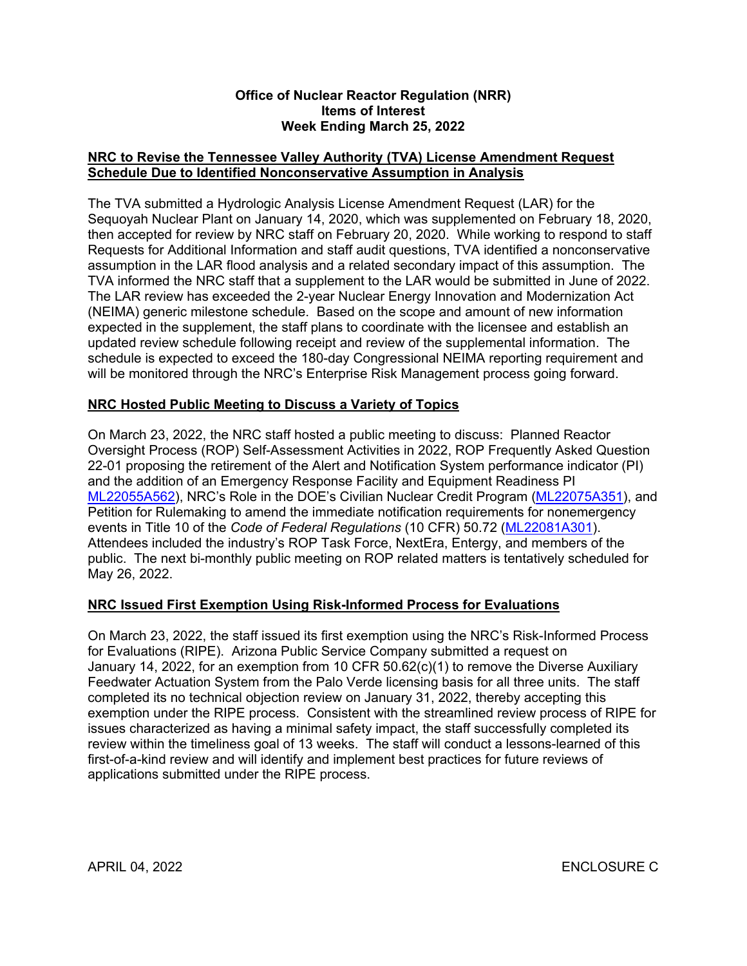#### **Office of Nuclear Reactor Regulation (NRR) Items of Interest Week Ending March 25, 2022**

## **NRC to Revise the Tennessee Valley Authority (TVA) License Amendment Request Schedule Due to Identified Nonconservative Assumption in Analysis**

The TVA submitted a Hydrologic Analysis License Amendment Request (LAR) for the Sequoyah Nuclear Plant on January 14, 2020, which was supplemented on February 18, 2020, then accepted for review by NRC staff on February 20, 2020. While working to respond to staff Requests for Additional Information and staff audit questions, TVA identified a nonconservative assumption in the LAR flood analysis and a related secondary impact of this assumption. The TVA informed the NRC staff that a supplement to the LAR would be submitted in June of 2022. The LAR review has exceeded the 2-year Nuclear Energy Innovation and Modernization Act (NEIMA) generic milestone schedule. Based on the scope and amount of new information expected in the supplement, the staff plans to coordinate with the licensee and establish an updated review schedule following receipt and review of the supplemental information. The schedule is expected to exceed the 180-day Congressional NEIMA reporting requirement and will be monitored through the NRC's Enterprise Risk Management process going forward.

# **NRC Hosted Public Meeting to Discuss a Variety of Topics**

On March 23, 2022, the NRC staff hosted a public meeting to discuss: Planned Reactor Oversight Process (ROP) Self-Assessment Activities in 2022, ROP Frequently Asked Question 22-01 proposing the retirement of the Alert and Notification System performance indicator (PI) and the addition of an Emergency Response Facility and Equipment Readiness PI [ML22055A562\)](https://adamsxt.nrc.gov/navigator/AdamsXT/content/downloadContent.faces?objectStoreName=MainLibrary&ForceBrowserDownloadMgrPrompt=false&vsId=%7b7CC84BB3-A697-C4EE-8552-7F2C89600000%7d), NRC's Role in the DOE's Civilian Nuclear Credit Program [\(ML22075A351\)](https://adamsxt.nrc.gov/navigator/AdamsXT/content/downloadContent.faces?objectStoreName=MainLibrary&ForceBrowserDownloadMgrPrompt=false&vsId=%7b44461452-8A6B-CD9D-93F7-7F9465300000%7d), and Petition for Rulemaking to amend the immediate notification requirements for nonemergency events in Title 10 of the *Code of Federal Regulations* (10 CFR) 50.72 [\(ML22081A301\)](https://adamsxt.nrc.gov/navigator/AdamsXT/content/downloadContent.faces?objectStoreName=MainLibrary&ForceBrowserDownloadMgrPrompt=false&vsId=%7bD4E74D4A-CE40-C775-BCDF-7FB317200000%7d). Attendees included the industry's ROP Task Force, NextEra, Entergy, and members of the public. The next bi-monthly public meeting on ROP related matters is tentatively scheduled for May 26, 2022.

## **NRC Issued First Exemption Using Risk-Informed Process for Evaluations**

On March 23, 2022, the staff issued its first exemption using the NRC's Risk-Informed Process for Evaluations (RIPE). Arizona Public Service Company submitted a request on January 14, 2022, for an exemption from 10 CFR 50.62(c)(1) to remove the Diverse Auxiliary Feedwater Actuation System from the Palo Verde licensing basis for all three units. The staff completed its no technical objection review on January 31, 2022, thereby accepting this exemption under the RIPE process. Consistent with the streamlined review process of RIPE for issues characterized as having a minimal safety impact, the staff successfully completed its review within the timeliness goal of 13 weeks. The staff will conduct a lessons-learned of this first-of-a-kind review and will identify and implement best practices for future reviews of applications submitted under the RIPE process.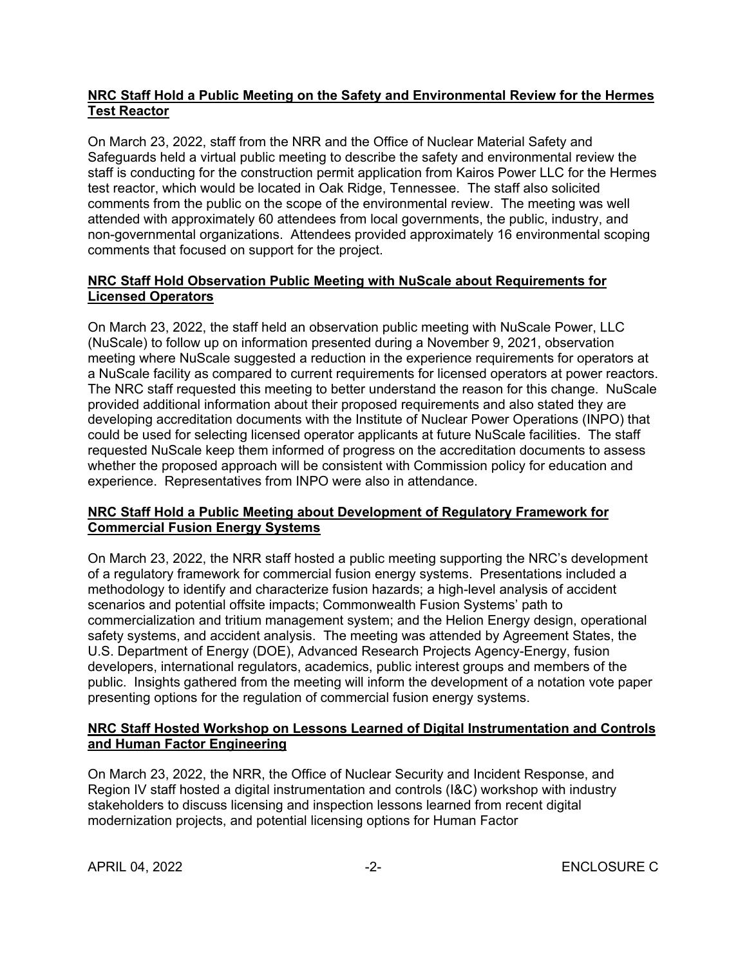## **NRC Staff Hold a Public Meeting on the Safety and Environmental Review for the Hermes Test Reactor**

On March 23, 2022, staff from the NRR and the Office of Nuclear Material Safety and Safeguards held a virtual public meeting to describe the safety and environmental review the staff is conducting for the construction permit application from Kairos Power LLC for the Hermes test reactor, which would be located in Oak Ridge, Tennessee. The staff also solicited comments from the public on the scope of the environmental review. The meeting was well attended with approximately 60 attendees from local governments, the public, industry, and non-governmental organizations. Attendees provided approximately 16 environmental scoping comments that focused on support for the project.

# **NRC Staff Hold Observation Public Meeting with NuScale about Requirements for Licensed Operators**

On March 23, 2022, the staff held an observation public meeting with NuScale Power, LLC (NuScale) to follow up on information presented during a November 9, 2021, observation meeting where NuScale suggested a reduction in the experience requirements for operators at a NuScale facility as compared to current requirements for licensed operators at power reactors. The NRC staff requested this meeting to better understand the reason for this change. NuScale provided additional information about their proposed requirements and also stated they are developing accreditation documents with the Institute of Nuclear Power Operations (INPO) that could be used for selecting licensed operator applicants at future NuScale facilities. The staff requested NuScale keep them informed of progress on the accreditation documents to assess whether the proposed approach will be consistent with Commission policy for education and experience. Representatives from INPO were also in attendance.

# **NRC Staff Hold a Public Meeting about Development of Regulatory Framework for Commercial Fusion Energy Systems**

On March 23, 2022, the NRR staff hosted a public meeting supporting the NRC's development of a regulatory framework for commercial fusion energy systems. Presentations included a methodology to identify and characterize fusion hazards; a high-level analysis of accident scenarios and potential offsite impacts; Commonwealth Fusion Systems' path to commercialization and tritium management system; and the Helion Energy design, operational safety systems, and accident analysis. The meeting was attended by Agreement States, the U.S. Department of Energy (DOE), Advanced Research Projects Agency-Energy, fusion developers, international regulators, academics, public interest groups and members of the public. Insights gathered from the meeting will inform the development of a notation vote paper presenting options for the regulation of commercial fusion energy systems.

# **NRC Staff Hosted Workshop on Lessons Learned of Digital Instrumentation and Controls and Human Factor Engineering**

On March 23, 2022, the NRR, the Office of Nuclear Security and Incident Response, and Region IV staff hosted a digital instrumentation and controls (I&C) workshop with industry stakeholders to discuss licensing and inspection lessons learned from recent digital modernization projects, and potential licensing options for Human Factor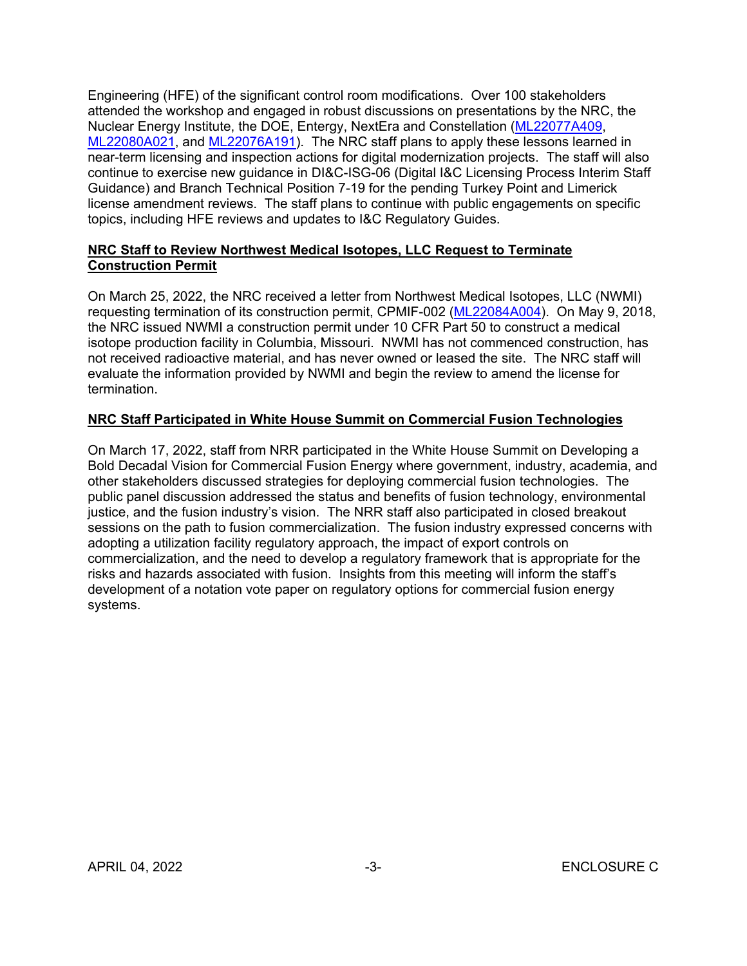Engineering (HFE) of the significant control room modifications. Over 100 stakeholders attended the workshop and engaged in robust discussions on presentations by the NRC, the Nuclear Energy Institute, the DOE, Entergy, NextEra and Constellation [\(ML22077A409,](https://adamsxt.nrc.gov/navigator/AdamsXT/packagecontent/packageContent.faces?id=%7bA8E83407-9189-C6E4-84BA-7F9E35600000%7d&objectStoreName=MainLibrary&wId=1648646922488) [ML22080A021,](file:///C:/Users/GGM/AppData/Local/Microsoft/Windows/INetCache/Content.Outlook/14571DJY/ML22080A021) and [ML22076A191\)](https://adamsxt.nrc.gov/navigator/AdamsXT/packagecontent/packageContent.faces?id=%7b023B918A-DF5E-CB29-8782-7F9904900000%7d&objectStoreName=MainLibrary&wId=1648649022748). The NRC staff plans to apply these lessons learned in near-term licensing and inspection actions for digital modernization projects. The staff will also continue to exercise new guidance in DI&C-ISG-06 (Digital I&C Licensing Process Interim Staff Guidance) and Branch Technical Position 7-19 for the pending Turkey Point and Limerick license amendment reviews. The staff plans to continue with public engagements on specific topics, including HFE reviews and updates to I&C Regulatory Guides.

## **NRC Staff to Review Northwest Medical Isotopes, LLC Request to Terminate Construction Permit**

On March 25, 2022, the NRC received a letter from Northwest Medical Isotopes, LLC (NWMI) requesting termination of its construction permit, CPMIF-002 [\(ML22084A004\)](https://adamsxt.nrc.gov/navigator/AdamsXT/content/downloadContent.faces?objectStoreName=MainLibrary&ForceBrowserDownloadMgrPrompt=false&vsId=%7b741F7587-D24E-C7CD-844B-7FC0B9200000%7d). On May 9, 2018, the NRC issued NWMI a construction permit under 10 CFR Part 50 to construct a medical isotope production facility in Columbia, Missouri. NWMI has not commenced construction, has not received radioactive material, and has never owned or leased the site. The NRC staff will evaluate the information provided by NWMI and begin the review to amend the license for termination.

# **NRC Staff Participated in White House Summit on Commercial Fusion Technologies**

On March 17, 2022, staff from NRR participated in the White House Summit on Developing a Bold Decadal Vision for Commercial Fusion Energy where government, industry, academia, and other stakeholders discussed strategies for deploying commercial fusion technologies. The public panel discussion addressed the status and benefits of fusion technology, environmental justice, and the fusion industry's vision. The NRR staff also participated in closed breakout sessions on the path to fusion commercialization. The fusion industry expressed concerns with adopting a utilization facility regulatory approach, the impact of export controls on commercialization, and the need to develop a regulatory framework that is appropriate for the risks and hazards associated with fusion. Insights from this meeting will inform the staff's development of a notation vote paper on regulatory options for commercial fusion energy systems.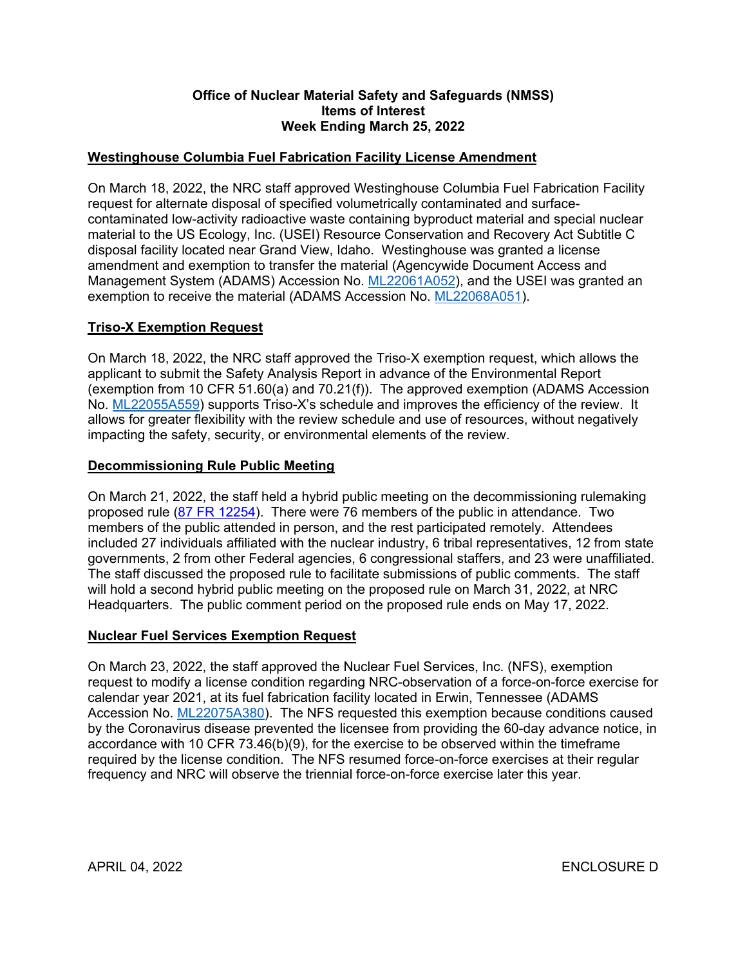### **Office of Nuclear Material Safety and Safeguards (NMSS) Items of Interest Week Ending March 25, 2022**

## **Westinghouse Columbia Fuel Fabrication Facility License Amendment**

On March 18, 2022, the NRC staff approved Westinghouse Columbia Fuel Fabrication Facility request for alternate disposal of specified volumetrically contaminated and surfacecontaminated low-activity radioactive waste containing byproduct material and special nuclear material to the US Ecology, Inc. (USEI) Resource Conservation and Recovery Act Subtitle C disposal facility located near Grand View, Idaho. Westinghouse was granted a license amendment and exemption to transfer the material (Agencywide Document Access and Management System (ADAMS) Accession No. [ML22061A052](https://adamsxt.nrc.gov/navigator/AdamsXT/packagecontent/packageContent.faces?id=%7b495A50E0-57F4-C8DD-87DA-7F4B42200000%7d&objectStoreName=MainLibrary&wId=1648068978873)), and the USEI was granted an exemption to receive the material (ADAMS Accession No. [ML22068A051\)](https://adamsxt.nrc.gov/navigator/AdamsXT/content/downloadContent.faces?objectStoreName=MainLibrary&ForceBrowserDownloadMgrPrompt=false&vsId=%7bE3279DE9-52E2-C909-84D6-7F6EF0000000%7d).

# **Triso-X Exemption Request**

On March 18, 2022, the NRC staff approved the Triso-X exemption request, which allows the applicant to submit the Safety Analysis Report in advance of the Environmental Report (exemption from 10 CFR 51.60(a) and 70.21(f)). The approved exemption (ADAMS Accession No. [ML22055A559\)](https://adamsxt.nrc.gov/navigator/AdamsXT/packagecontent/packageContent.faces?id=%7bE931836E-C82E-C242-8647-7F2C86D00000%7d&objectStoreName=MainLibrary&wId=1648068790084) supports Triso-X's schedule and improves the efficiency of the review. It allows for greater flexibility with the review schedule and use of resources, without negatively impacting the safety, security, or environmental elements of the review.

## **Decommissioning Rule Public Meeting**

On March 21, 2022, the staff held a hybrid public meeting on the decommissioning rulemaking proposed rule ([87 FR 12254\)](https://www.govinfo.gov/content/pkg/FR-2022-03-03/pdf/2022-03131.pdf?utm_source=federalregister.gov&utm_medium=email&utm_campaign=subscription+mailing+list). There were 76 members of the public in attendance. Two members of the public attended in person, and the rest participated remotely. Attendees included 27 individuals affiliated with the nuclear industry, 6 tribal representatives, 12 from state governments, 2 from other Federal agencies, 6 congressional staffers, and 23 were unaffiliated. The staff discussed the proposed rule to facilitate submissions of public comments. The staff will hold a second hybrid public meeting on the proposed rule on March 31, 2022, at NRC Headquarters. The public comment period on the proposed rule ends on May 17, 2022.

## **Nuclear Fuel Services Exemption Request**

On March 23, 2022, the staff approved the Nuclear Fuel Services, Inc. (NFS), exemption request to modify a license condition regarding NRC-observation of a force-on-force exercise for calendar year 2021, at its fuel fabrication facility located in Erwin, Tennessee (ADAMS Accession No. [ML22075A380\)](https://adamsxt.nrc.gov/navigator/AdamsXT/packagecontent/packageContent.faces?id=%7bFBA5BC4A-D882-C0D0-86AD-7F9519400000%7d&objectStoreName=MainLibrary&wId=1648068499963). The NFS requested this exemption because conditions caused by the Coronavirus disease prevented the licensee from providing the 60-day advance notice, in accordance with 10 CFR 73.46(b)(9), for the exercise to be observed within the timeframe required by the license condition. The NFS resumed force-on-force exercises at their regular frequency and NRC will observe the triennial force-on-force exercise later this year.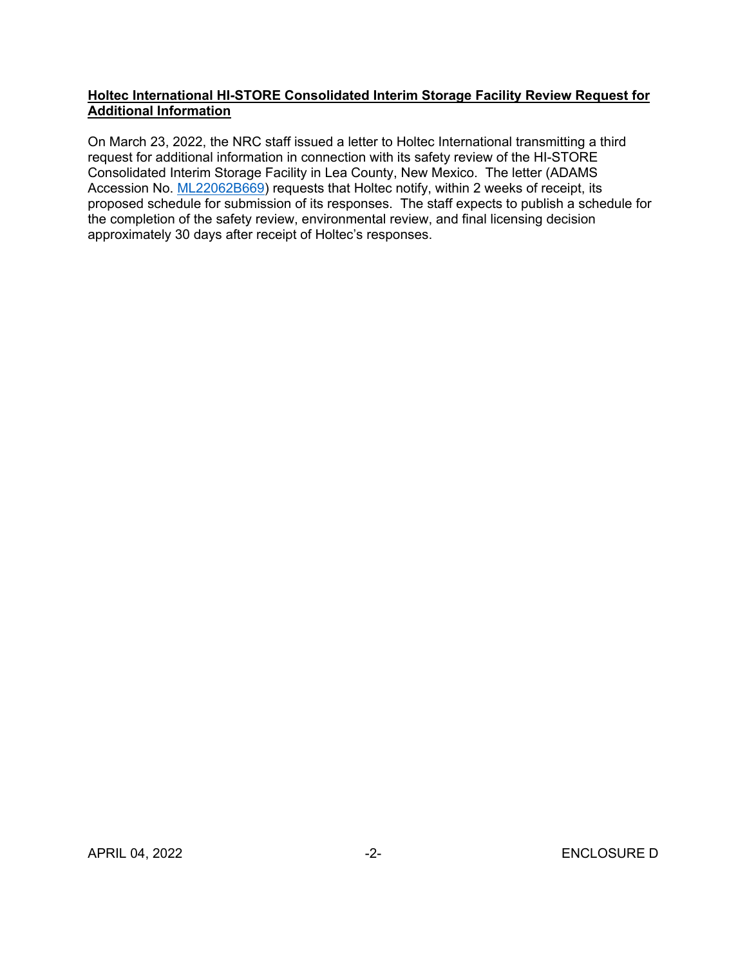### **Holtec International HI-STORE Consolidated Interim Storage Facility Review Request for Additional Information**

On March 23, 2022, the NRC staff issued a letter to Holtec International transmitting a third request for additional information in connection with its safety review of the HI-STORE Consolidated Interim Storage Facility in Lea County, New Mexico. The letter (ADAMS Accession No. [ML22062B669\)](https://adamsxt.nrc.gov/navigator/AdamsXT/content/downloadContent.faces?objectStoreName=MainLibrary&ForceBrowserDownloadMgrPrompt=false&vsId=%7b6BD8B661-ADFF-C8C7-AFB8-7F5234400002%7d) requests that Holtec notify, within 2 weeks of receipt, its proposed schedule for submission of its responses. The staff expects to publish a schedule for the completion of the safety review, environmental review, and final licensing decision approximately 30 days after receipt of Holtec's responses.